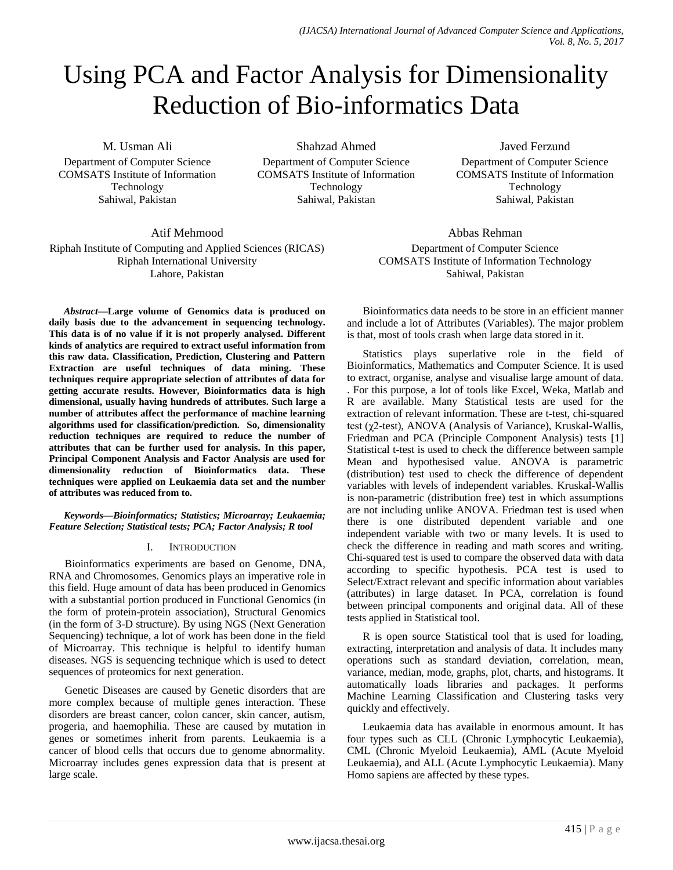# Using PCA and Factor Analysis for Dimensionality Reduction of Bio-informatics Data

M. Usman Ali

Department of Computer Science COMSATS Institute of Information Technology Sahiwal, Pakistan

Shahzad Ahmed

Department of Computer Science COMSATS Institute of Information Technology Sahiwal, Pakistan

# Atif Mehmood

Riphah Institute of Computing and Applied Sciences (RICAS) Riphah International University Lahore, Pakistan

*Abstract***—Large volume of Genomics data is produced on daily basis due to the advancement in sequencing technology. This data is of no value if it is not properly analysed. Different kinds of analytics are required to extract useful information from this raw data. Classification, Prediction, Clustering and Pattern Extraction are useful techniques of data mining. These techniques require appropriate selection of attributes of data for getting accurate results. However, Bioinformatics data is high dimensional, usually having hundreds of attributes. Such large a number of attributes affect the performance of machine learning algorithms used for classification/prediction. So, dimensionality reduction techniques are required to reduce the number of attributes that can be further used for analysis. In this paper, Principal Component Analysis and Factor Analysis are used for dimensionality reduction of Bioinformatics data. These techniques were applied on Leukaemia data set and the number of attributes was reduced from to.**

*Keywords—Bioinformatics; Statistics; Microarray; Leukaemia; Feature Selection; Statistical tests; PCA; Factor Analysis; R tool*

# I. INTRODUCTION

Bioinformatics experiments are based on Genome, DNA, RNA and Chromosomes. Genomics plays an imperative role in this field. Huge amount of data has been produced in Genomics with a substantial portion produced in Functional Genomics (in the form of protein-protein association), Structural Genomics (in the form of 3-D structure). By using NGS (Next Generation Sequencing) technique, a lot of work has been done in the field of Microarray. This technique is helpful to identify human diseases. NGS is sequencing technique which is used to detect sequences of proteomics for next generation.

Genetic Diseases are caused by Genetic disorders that are more complex because of multiple genes interaction. These disorders are breast cancer, colon cancer, skin cancer, autism, progeria, and haemophilia. These are caused by mutation in genes or sometimes inherit from parents. Leukaemia is a cancer of blood cells that occurs due to genome abnormality. Microarray includes genes expression data that is present at large scale.

Javed Ferzund Department of Computer Science COMSATS Institute of Information Technology Sahiwal, Pakistan

Abbas Rehman Department of Computer Science COMSATS Institute of Information Technology Sahiwal, Pakistan

Bioinformatics data needs to be store in an efficient manner and include a lot of Attributes (Variables). The major problem is that, most of tools crash when large data stored in it.

Statistics plays superlative role in the field of Bioinformatics, Mathematics and Computer Science. It is used to extract, organise, analyse and visualise large amount of data. . For this purpose, a lot of tools like Excel, Weka, Matlab and R are available. Many Statistical tests are used for the extraction of relevant information. These are t-test, chi-squared test (χ2-test), ANOVA (Analysis of Variance), Kruskal-Wallis, Friedman and PCA (Principle Component Analysis) tests [1] Statistical t-test is used to check the difference between sample Mean and hypothesised value. ANOVA is parametric (distribution) test used to check the difference of dependent variables with levels of independent variables. Kruskal-Wallis is non-parametric (distribution free) test in which assumptions are not including unlike ANOVA. Friedman test is used when there is one distributed dependent variable and one independent variable with two or many levels. It is used to check the difference in reading and math scores and writing. Chi-squared test is used to compare the observed data with data according to specific hypothesis. PCA test is used to Select/Extract relevant and specific information about variables (attributes) in large dataset. In PCA, correlation is found between principal components and original data. All of these tests applied in Statistical tool.

R is open source Statistical tool that is used for loading, extracting, interpretation and analysis of data. It includes many operations such as standard deviation, correlation, mean, variance, median, mode, graphs, plot, charts, and histograms. It automatically loads libraries and packages. It performs Machine Learning Classification and Clustering tasks very quickly and effectively.

Leukaemia data has available in enormous amount. It has four types such as CLL (Chronic Lymphocytic Leukaemia), CML (Chronic Myeloid Leukaemia), AML (Acute Myeloid Leukaemia), and ALL (Acute Lymphocytic Leukaemia). Many Homo sapiens are affected by these types.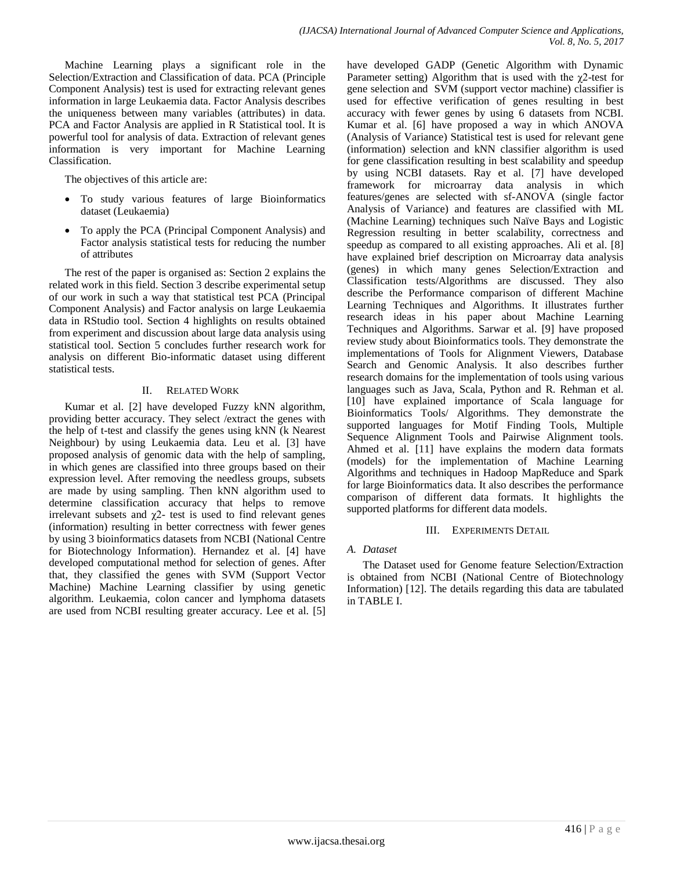Machine Learning plays a significant role in the Selection/Extraction and Classification of data. PCA (Principle Component Analysis) test is used for extracting relevant genes information in large Leukaemia data. Factor Analysis describes the uniqueness between many variables (attributes) in data. PCA and Factor Analysis are applied in R Statistical tool. It is powerful tool for analysis of data. Extraction of relevant genes information is very important for Machine Learning Classification.

The objectives of this article are:

- To study various features of large Bioinformatics dataset (Leukaemia)
- To apply the PCA (Principal Component Analysis) and Factor analysis statistical tests for reducing the number of attributes

The rest of the paper is organised as: Section 2 explains the related work in this field. Section 3 describe experimental setup of our work in such a way that statistical test PCA (Principal Component Analysis) and Factor analysis on large Leukaemia data in RStudio tool. Section 4 highlights on results obtained from experiment and discussion about large data analysis using statistical tool. Section 5 concludes further research work for analysis on different Bio-informatic dataset using different statistical tests.

## II. RELATED WORK

Kumar et al. [2] have developed Fuzzy kNN algorithm, providing better accuracy. They select /extract the genes with the help of t-test and classify the genes using kNN (k Nearest Neighbour) by using Leukaemia data. Leu et al. [3] have proposed analysis of genomic data with the help of sampling, in which genes are classified into three groups based on their expression level. After removing the needless groups, subsets are made by using sampling. Then kNN algorithm used to determine classification accuracy that helps to remove irrelevant subsets and  $\chi$ 2- test is used to find relevant genes (information) resulting in better correctness with fewer genes by using 3 bioinformatics datasets from NCBI (National Centre for Biotechnology Information). Hernandez et al. [4] have developed computational method for selection of genes. After that, they classified the genes with SVM (Support Vector Machine) Machine Learning classifier by using genetic algorithm. Leukaemia, colon cancer and lymphoma datasets are used from NCBI resulting greater accuracy. Lee et al. [5]

have developed GADP (Genetic Algorithm with Dynamic Parameter setting) Algorithm that is used with the  $\chi$ 2-test for gene selection and SVM (support vector machine) classifier is used for effective verification of genes resulting in best accuracy with fewer genes by using 6 datasets from NCBI. Kumar et al. [6] have proposed a way in which ANOVA (Analysis of Variance) Statistical test is used for relevant gene (information) selection and kNN classifier algorithm is used for gene classification resulting in best scalability and speedup by using NCBI datasets. Ray et al. [7] have developed framework for microarray data analysis in which features/genes are selected with sf-ANOVA (single factor Analysis of Variance) and features are classified with ML (Machine Learning) techniques such Naïve Bays and Logistic Regression resulting in better scalability, correctness and speedup as compared to all existing approaches. Ali et al. [8] have explained brief description on Microarray data analysis (genes) in which many genes Selection/Extraction and Classification tests/Algorithms are discussed. They also describe the Performance comparison of different Machine Learning Techniques and Algorithms. It illustrates further research ideas in his paper about Machine Learning Techniques and Algorithms. Sarwar et al. [9] have proposed review study about Bioinformatics tools. They demonstrate the implementations of Tools for Alignment Viewers, Database Search and Genomic Analysis. It also describes further research domains for the implementation of tools using various languages such as Java, Scala, Python and R. Rehman et al. [10] have explained importance of Scala language for Bioinformatics Tools/ Algorithms. They demonstrate the supported languages for Motif Finding Tools, Multiple Sequence Alignment Tools and Pairwise Alignment tools. Ahmed et al. [11] have explains the modern data formats (models) for the implementation of Machine Learning Algorithms and techniques in Hadoop MapReduce and Spark for large Bioinformatics data. It also describes the performance comparison of different data formats. It highlights the supported platforms for different data models.

## III. EXPERIMENTS DETAIL

# *A. Dataset*

The Dataset used for Genome feature Selection/Extraction is obtained from NCBI (National Centre of Biotechnology Information) [12]. The details regarding this data are tabulated in [TABLE I.](#page-2-0)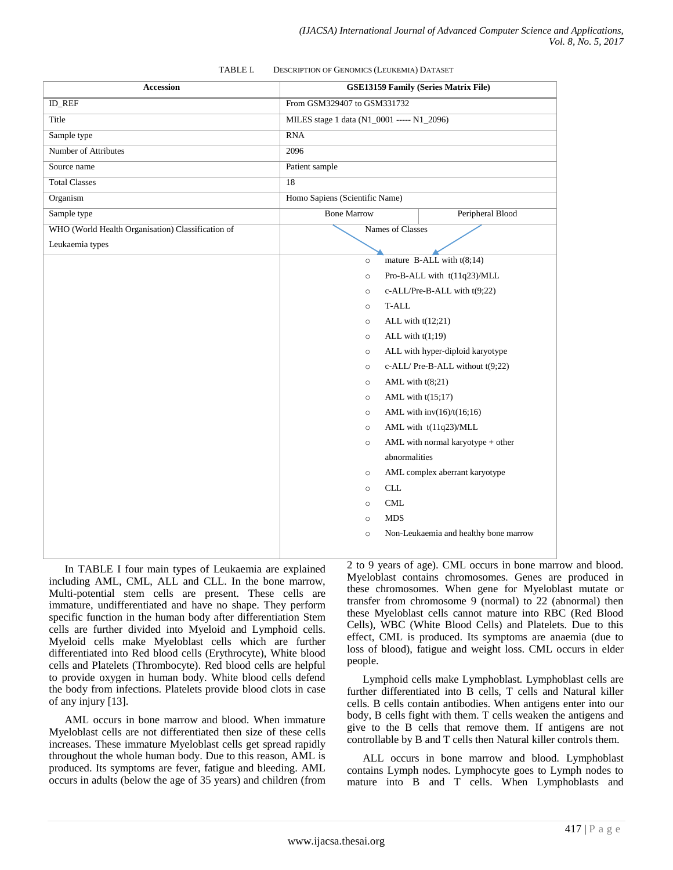<span id="page-2-0"></span>

| TABLE I.<br><b>DESCRIPTION OF GENOMICS (LEUKEMIA) DATASET</b> |                                |                                                              |  |  |
|---------------------------------------------------------------|--------------------------------|--------------------------------------------------------------|--|--|
| <b>Accession</b>                                              |                                | <b>GSE13159 Family (Series Matrix File)</b>                  |  |  |
| <b>ID REF</b>                                                 | From GSM329407 to GSM331732    |                                                              |  |  |
| Title                                                         |                                | MILES stage 1 data (N1_0001 ----- N1_2096)                   |  |  |
| Sample type                                                   | <b>RNA</b>                     |                                                              |  |  |
| <b>Number of Attributes</b>                                   | 2096                           |                                                              |  |  |
| Source name                                                   | Patient sample                 |                                                              |  |  |
| <b>Total Classes</b>                                          | 18                             |                                                              |  |  |
| Organism                                                      | Homo Sapiens (Scientific Name) |                                                              |  |  |
| Sample type                                                   | <b>Bone Marrow</b>             | Peripheral Blood                                             |  |  |
| WHO (World Health Organisation) Classification of             |                                | Names of Classes                                             |  |  |
| Leukaemia types                                               |                                |                                                              |  |  |
|                                                               | $\circ$                        | mature B-ALL with $t(8;14)$                                  |  |  |
|                                                               | $\circ$                        | Pro-B-ALL with t(11q23)/MLL                                  |  |  |
|                                                               | $\circ$                        | c-ALL/Pre-B-ALL with t(9;22)                                 |  |  |
|                                                               | T-ALL<br>$\circ$               |                                                              |  |  |
|                                                               | $\circ$                        | ALL with $t(12;21)$                                          |  |  |
|                                                               | ALL with $t(1,19)$<br>$\circ$  |                                                              |  |  |
|                                                               | $\circ$                        | ALL with hyper-diploid karyotype                             |  |  |
|                                                               | $\circ$                        | c-ALL/Pre-B-ALL without t(9;22)                              |  |  |
|                                                               | $\circ$                        | AML with $t(8;21)$                                           |  |  |
|                                                               | $\circ$                        | AML with $t(15;17)$                                          |  |  |
|                                                               | $\circ$                        | AML with $inv(16)/t(16;16)$                                  |  |  |
|                                                               | $\circ$<br>$\circ$             | AML with t(11q23)/MLL<br>AML with normal karyotype $+$ other |  |  |
|                                                               | abnormalities                  |                                                              |  |  |

#### TABLE I. DESCRIPTION OF GENOMICS (LEUKEMIA) DATASET

In [TABLE I](#page-2-0) four main types of Leukaemia are explained including AML, CML, ALL and CLL. In the bone marrow, Multi-potential stem cells are present. These cells are immature, undifferentiated and have no shape. They perform specific function in the human body after differentiation Stem cells are further divided into Myeloid and Lymphoid cells. Myeloid cells make Myeloblast cells which are further differentiated into Red blood cells (Erythrocyte), White blood cells and Platelets (Thrombocyte). Red blood cells are helpful to provide oxygen in human body. White blood cells defend the body from infections. Platelets provide blood clots in case of any injury [13].

Leuk

AML occurs in bone marrow and blood. When immature Myeloblast cells are not differentiated then size of these cells increases. These immature Myeloblast cells get spread rapidly throughout the whole human body. Due to this reason, AML is produced. Its symptoms are fever, fatigue and bleeding. AML occurs in adults (below the age of 35 years) and children (from 2 to 9 years of age). CML occurs in bone marrow and blood. Myeloblast contains chromosomes. Genes are produced in these chromosomes. When gene for Myeloblast mutate or transfer from chromosome 9 (normal) to 22 (abnormal) then these Myeloblast cells cannot mature into RBC (Red Blood Cells), WBC (White Blood Cells) and Platelets. Due to this effect, CML is produced. Its symptoms are anaemia (due to loss of blood), fatigue and weight loss. CML occurs in elder people.

o AML complex aberrant karyotype

o Non-Leukaemia and healthy bone marrow

o CLL o CML o MDS

Lymphoid cells make Lymphoblast. Lymphoblast cells are further differentiated into B cells, T cells and Natural killer cells. B cells contain antibodies. When antigens enter into our body, B cells fight with them. T cells weaken the antigens and give to the B cells that remove them. If antigens are not controllable by B and T cells then Natural killer controls them.

ALL occurs in bone marrow and blood. Lymphoblast contains Lymph nodes. Lymphocyte goes to Lymph nodes to mature into B and T cells. When Lymphoblasts and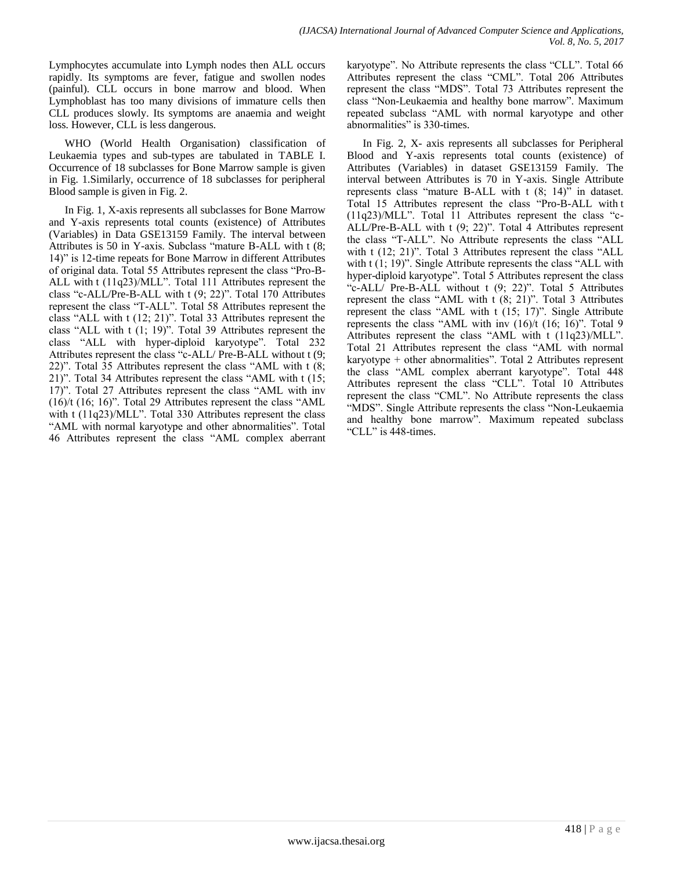Lymphocytes accumulate into Lymph nodes then ALL occurs rapidly. Its symptoms are fever, fatigue and swollen nodes (painful). CLL occurs in bone marrow and blood. When Lymphoblast has too many divisions of immature cells then CLL produces slowly. Its symptoms are anaemia and weight loss. However, CLL is less dangerous.

WHO (World Health Organisation) classification of Leukaemia types and sub-types are tabulated in [TABLE I.](#page-2-0) Occurrence of 18 subclasses for Bone Marrow sample is given in [Fig. 1.](#page-4-0)Similarly, occurrence of 18 subclasses for peripheral Blood sample is given in [Fig. 2.](#page-5-0)

In [Fig. 1,](#page-4-0) X-axis represents all subclasses for Bone Marrow and Y-axis represents total counts (existence) of Attributes (Variables) in Data GSE13159 Family. The interval between Attributes is 50 in Y-axis. Subclass "mature B-ALL with t (8; 14)" is 12-time repeats for Bone Marrow in different Attributes of original data. Total 55 Attributes represent the class "Pro-B-ALL with t (11q23)/MLL". Total 111 Attributes represent the class "c-ALL/Pre-B-ALL with t (9; 22)". Total 170 Attributes represent the class "T-ALL". Total 58 Attributes represent the class "ALL with t (12; 21)". Total 33 Attributes represent the class "ALL with t (1; 19)". Total 39 Attributes represent the class "ALL with hyper-diploid karyotype". Total 232 Attributes represent the class "c-ALL/ Pre-B-ALL without t (9; 22)". Total 35 Attributes represent the class "AML with t (8; 21)". Total 34 Attributes represent the class "AML with t (15; 17)". Total 27 Attributes represent the class "AML with inv (16)/t (16; 16)". Total 29 Attributes represent the class "AML with t (11q23)/MLL". Total 330 Attributes represent the class "AML with normal karyotype and other abnormalities". Total 46 Attributes represent the class "AML complex aberrant

karyotype". No Attribute represents the class "CLL". Total 66 Attributes represent the class "CML". Total 206 Attributes represent the class "MDS". Total 73 Attributes represent the class "Non-Leukaemia and healthy bone marrow". Maximum repeated subclass "AML with normal karyotype and other abnormalities" is 330-times.

In [Fig. 2,](#page-5-0) X- axis represents all subclasses for Peripheral Blood and Y-axis represents total counts (existence) of Attributes (Variables) in dataset GSE13159 Family. The interval between Attributes is 70 in Y-axis. Single Attribute represents class "mature B-ALL with t (8; 14)" in dataset. Total 15 Attributes represent the class "Pro-B-ALL with t (11q23)/MLL". Total 11 Attributes represent the class "c-ALL/Pre-B-ALL with t (9; 22)". Total 4 Attributes represent the class "T-ALL". No Attribute represents the class "ALL with t (12; 21)". Total 3 Attributes represent the class "ALL with t  $(1; 19)$ ". Single Attribute represents the class "ALL with hyper-diploid karyotype". Total 5 Attributes represent the class "c-ALL/ Pre-B-ALL without t (9; 22)". Total 5 Attributes represent the class "AML with t (8; 21)". Total 3 Attributes represent the class "AML with t (15; 17)". Single Attribute represents the class "AML with inv (16)/t (16; 16)". Total 9 Attributes represent the class "AML with t (11q23)/MLL". Total 21 Attributes represent the class "AML with normal karyotype + other abnormalities". Total 2 Attributes represent the class "AML complex aberrant karyotype". Total 448 Attributes represent the class "CLL". Total 10 Attributes represent the class "CML". No Attribute represents the class "MDS". Single Attribute represents the class "Non-Leukaemia and healthy bone marrow". Maximum repeated subclass "CLL" is 448-times.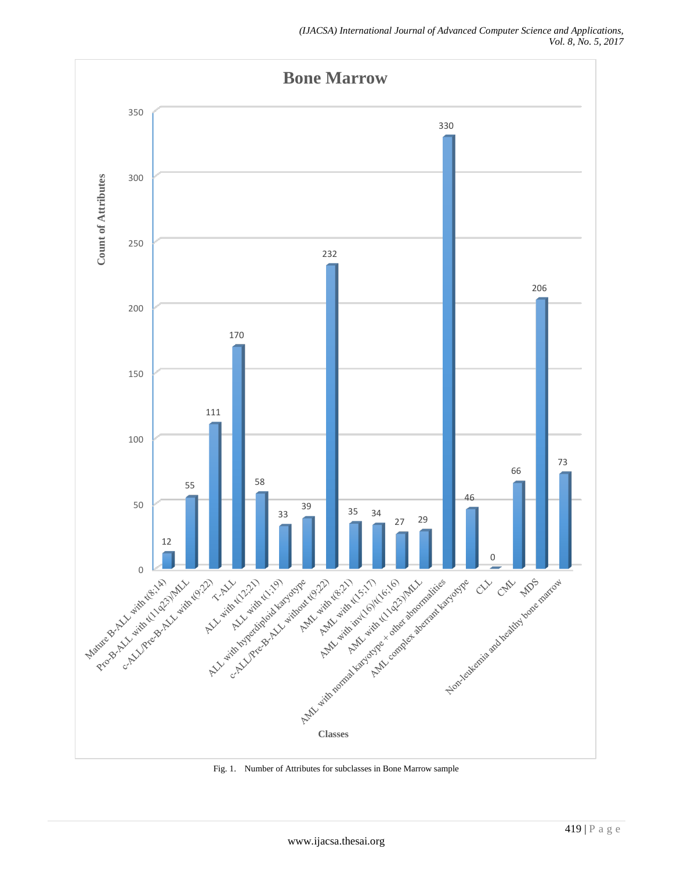

<span id="page-4-0"></span>Fig. 1. Number of Attributes for subclasses in Bone Marrow sample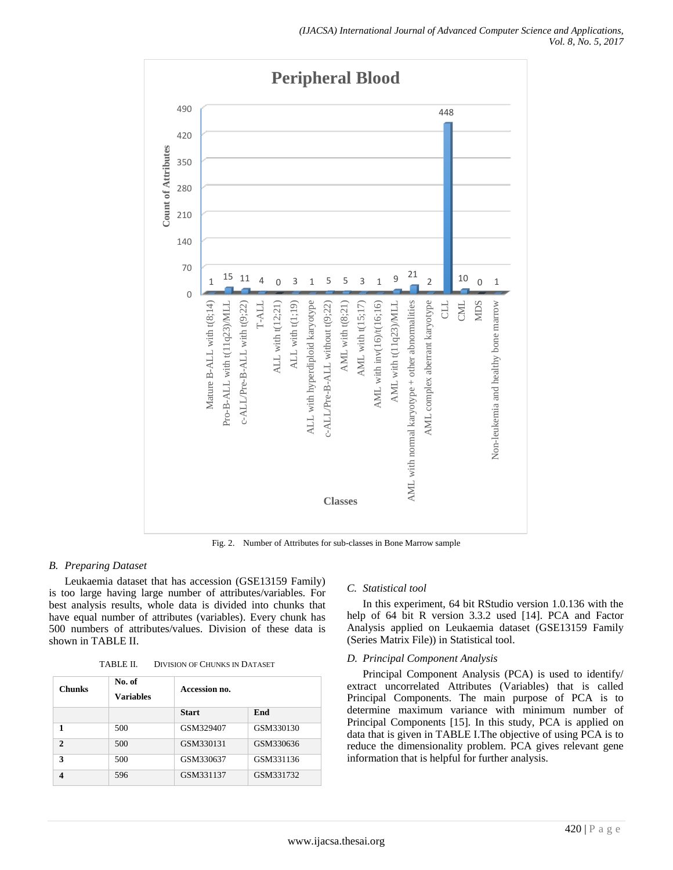

<span id="page-5-0"></span>*B. Preparing Dataset*

Leukaemia dataset that has accession (GSE13159 Family) is too large having large number of attributes/variables. For best analysis results, whole data is divided into chunks that have equal number of attributes (variables). Every chunk has 500 numbers of attributes/values. Division of these data is shown in [TABLE II.](#page-5-1)

| TABLE II. | <b>DIVISION OF CHUNKS IN DATASET</b> |  |  |
|-----------|--------------------------------------|--|--|
|-----------|--------------------------------------|--|--|

<span id="page-5-1"></span>

| <b>Chunks</b>         | No. of<br><b>Variables</b> | Accession no. |           |
|-----------------------|----------------------------|---------------|-----------|
|                       |                            | <b>Start</b>  | End       |
| 1                     | 500                        | GSM329407     | GSM330130 |
| $\mathcal{D}$         | 500                        | GSM330131     | GSM330636 |
| 3                     | 500                        | GSM330637     | GSM331136 |
| $\boldsymbol{\Delta}$ | 596                        | GSM331137     | GSM331732 |

## *C. Statistical tool*

In this experiment, 64 bit RStudio version 1.0.136 with the help of 64 bit R version 3.3.2 used [14]. PCA and Factor Analysis applied on Leukaemia dataset (GSE13159 Family (Series Matrix File)) in Statistical tool.

## *D. Principal Component Analysis*

Principal Component Analysis (PCA) is used to identify/ extract uncorrelated Attributes (Variables) that is called Principal Components. The main purpose of PCA is to determine maximum variance with minimum number of Principal Components [15]. In this study, PCA is applied on data that is given in [TABLE I.T](#page-2-0)he objective of using PCA is to reduce the dimensionality problem. PCA gives relevant gene information that is helpful for further analysis.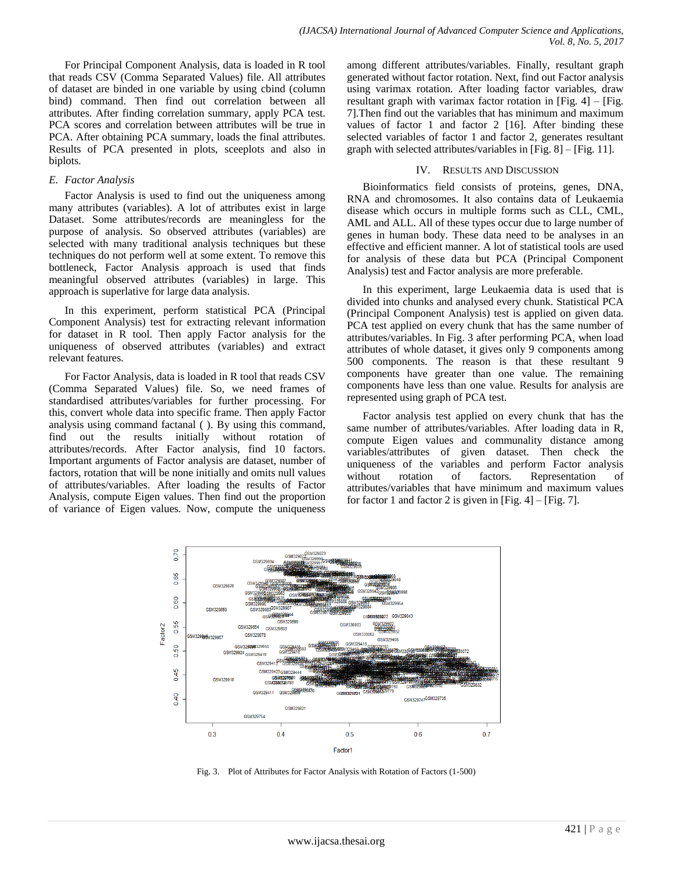For Principal Component Analysis, data is loaded in R tool that reads CSV (Comma Separated Values) file. All attributes of dataset are binded in one variable by using cbind (column bind) command. Then find out correlation between all attributes. After finding correlation summary, apply PCA test. PCA scores and correlation between attributes will be true in PCA. After obtaining PCA summary, loads the final attributes. Results of PCA presented in plots, sceeplots and also in biplots.

#### *E. Factor Analysis*

Factor Analysis is used to find out the uniqueness among many attributes (variables). A lot of attributes exist in large Dataset. Some attributes/records are meaningless for the purpose of analysis. So observed attributes (variables) are selected with many traditional analysis techniques but these techniques do not perform well at some extent. To remove this bottleneck, Factor Analysis approach is used that finds meaningful observed attributes (variables) in large. This approach is superlative for large data analysis.

In this experiment, perform statistical PCA (Principal Component Analysis) test for extracting relevant information for dataset in R tool. Then apply Factor analysis for the uniqueness of observed attributes (variables) and extract relevant features.

For Factor Analysis, data is loaded in R tool that reads CSV (Comma Separated Values) file. So, we need frames of standardised attributes/variables for further processing. For this, convert whole data into specific frame. Then apply Factor analysis using command factanal ( ). By using this command, find out the results initially without rotation of attributes/records. After Factor analysis, find 10 factors. Important arguments of Factor analysis are dataset, number of factors, rotation that will be none initially and omits null values of attributes/variables. After loading the results of Factor Analysis, compute Eigen values. Then find out the proportion of variance of Eigen values. Now, compute the uniqueness

among different attributes/variables. Finally, resultant graph generated without factor rotation. Next, find out Factor analysis using varimax rotation. After loading factor variables, draw resultant graph with varimax factor rotation in [\[Fig. 4\]](#page-7-0)  $-$  [Fig. [7\]](#page-8-0).Then find out the variables that has minimum and maximum values of factor 1 and factor 2 [16]. After binding these selected variables of factor 1 and factor 2, generates resultant graph with selected attributes/variables in [\[Fig. 8\]](#page-9-0) – [\[Fig. 11\]](#page-10-0).

#### IV. RESULTS AND DISCUSSION

Bioinformatics field consists of proteins, genes, DNA, RNA and chromosomes. It also contains data of Leukaemia disease which occurs in multiple forms such as CLL, CML, AML and ALL. All of these types occur due to large number of genes in human body. These data need to be analyses in an effective and efficient manner. A lot of statistical tools are used for analysis of these data but PCA (Principal Component Analysis) test and Factor analysis are more preferable.

In this experiment, large Leukaemia data is used that is divided into chunks and analysed every chunk. Statistical PCA (Principal Component Analysis) test is applied on given data. PCA test applied on every chunk that has the same number of attributes/variables. In [Fig. 3](#page-6-0) after performing PCA, when load attributes of whole dataset, it gives only 9 components among 500 components. The reason is that these resultant 9 components have greater than one value. The remaining components have less than one value. Results for analysis are represented using graph of PCA test.

Factor analysis test applied on every chunk that has the same number of attributes/variables. After loading data in R, compute Eigen values and communality distance among variables/attributes of given dataset. Then check the uniqueness of the variables and perform Factor analysis without rotation of factors. Representation of attributes/variables that have minimum and maximum values for factor 1 and factor 2 is given in  $[Fig. 4] - [Fig. 7]$  $[Fig. 4] - [Fig. 7]$  $[Fig. 4] - [Fig. 7]$ .



<span id="page-6-0"></span>Fig. 3. Plot of Attributes for Factor Analysis with Rotation of Factors (1-500)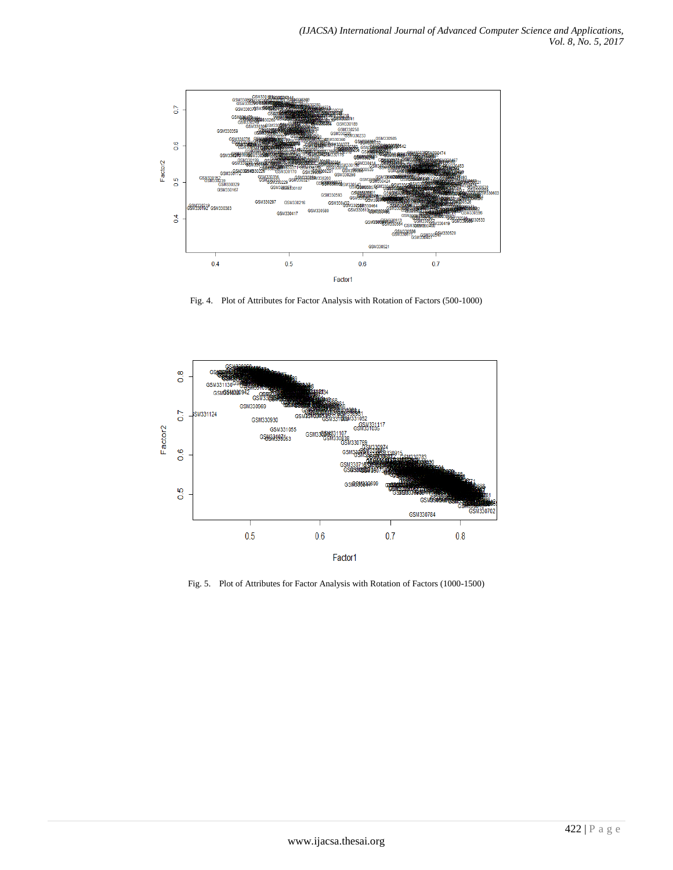

Fig. 4. Plot of Attributes for Factor Analysis with Rotation of Factors (500-1000)

<span id="page-7-0"></span>

Fig. 5. Plot of Attributes for Factor Analysis with Rotation of Factors (1000-1500)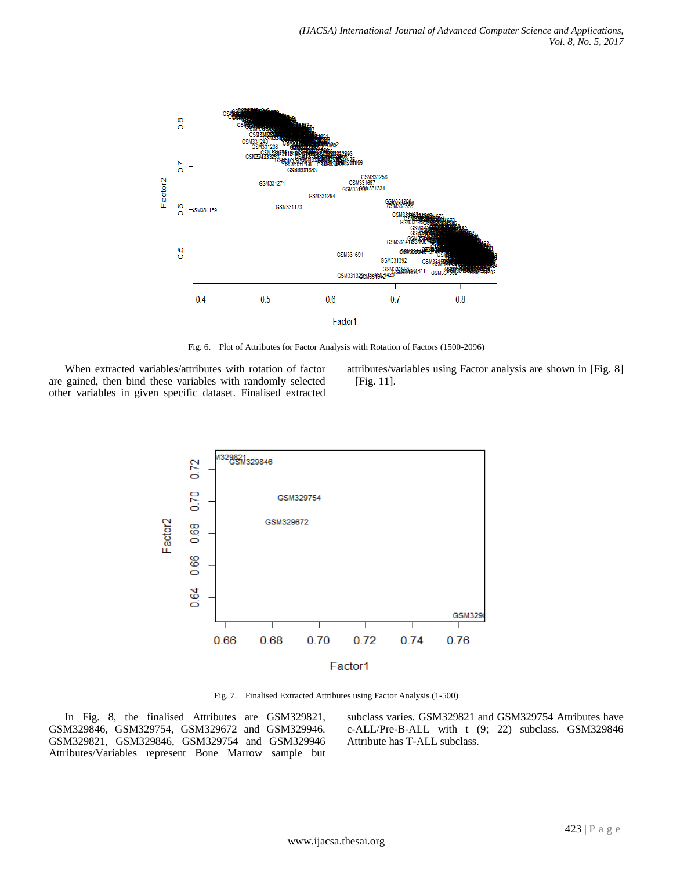

Fig. 6. Plot of Attributes for Factor Analysis with Rotation of Factors (1500-2096)

When extracted variables/attributes with rotation of factor are gained, then bind these variables with randomly selected other variables in given specific dataset. Finalised extracted

attributes/variables using Factor analysis are shown in [\[Fig. 8\]](#page-9-0)  $-[Fig. 11].$  $-[Fig. 11].$  $-[Fig. 11].$ 



Fig. 7. Finalised Extracted Attributes using Factor Analysis (1-500)

<span id="page-8-0"></span>In Fig. 8, the finalised Attributes are GSM329821, GSM329846, GSM329754, GSM329672 and GSM329946. GSM329821, GSM329846, GSM329754 and GSM329946 Attributes/Variables represent Bone Marrow sample but subclass varies. GSM329821 and GSM329754 Attributes have c-ALL/Pre-B-ALL with t (9; 22) subclass. GSM329846 Attribute has T-ALL subclass.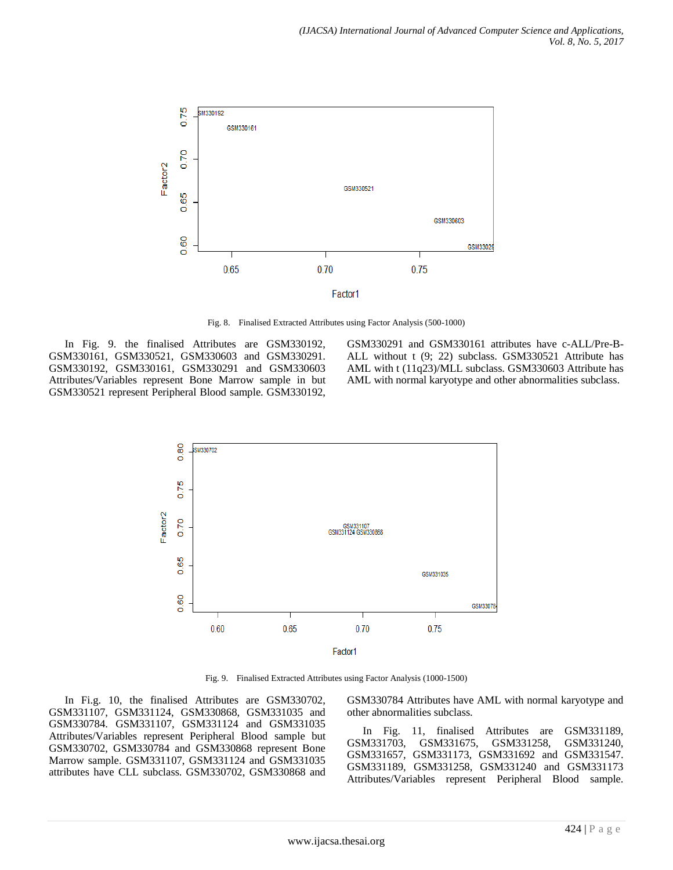

Fig. 8. Finalised Extracted Attributes using Factor Analysis (500-1000)

<span id="page-9-0"></span>In Fig. 9. the finalised Attributes are GSM330192, GSM330161, GSM330521, GSM330603 and GSM330291. GSM330192, GSM330161, GSM330291 and GSM330603 Attributes/Variables represent Bone Marrow sample in but GSM330521 represent Peripheral Blood sample. GSM330192,

GSM330291 and GSM330161 attributes have c-ALL/Pre-B-ALL without t (9; 22) subclass. GSM330521 Attribute has AML with t (11q23)/MLL subclass. GSM330603 Attribute has AML with normal karyotype and other abnormalities subclass.



Fig. 9. Finalised Extracted Attributes using Factor Analysis (1000-1500)

In Fi.g. 10, the finalised Attributes are GSM330702, GSM331107, GSM331124, GSM330868, GSM331035 and GSM330784. GSM331107, GSM331124 and GSM331035 Attributes/Variables represent Peripheral Blood sample but GSM330702, GSM330784 and GSM330868 represent Bone Marrow sample. GSM331107, GSM331124 and GSM331035 attributes have CLL subclass. GSM330702, GSM330868 and

GSM330784 Attributes have AML with normal karyotype and other abnormalities subclass.

In Fig. 11, finalised Attributes are GSM331189, GSM331703, GSM331675, GSM331258, GSM331240, GSM331657, GSM331173, GSM331692 and GSM331547. GSM331189, GSM331258, GSM331240 and GSM331173 Attributes/Variables represent Peripheral Blood sample.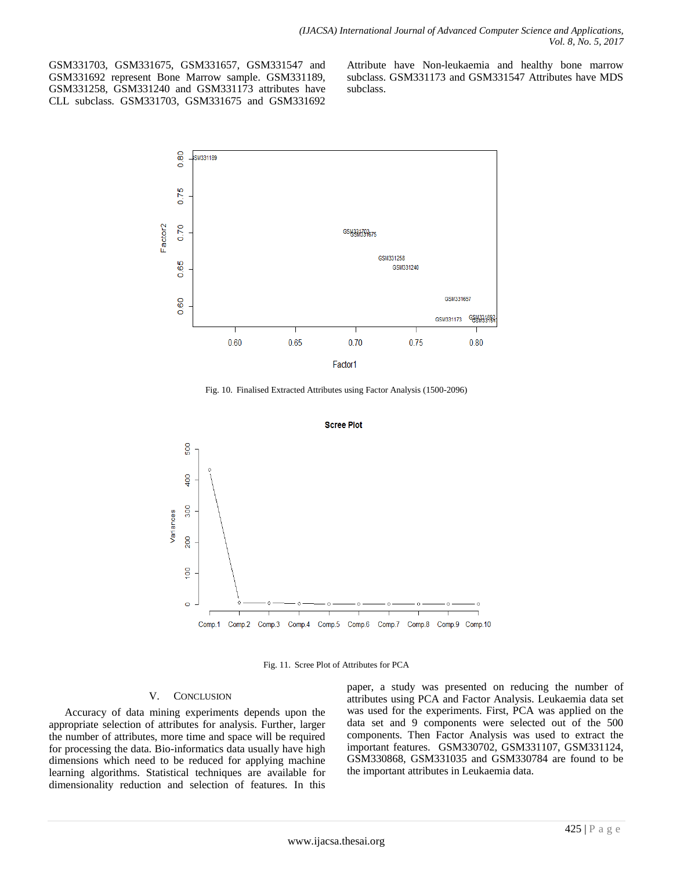GSM331703, GSM331675, GSM331657, GSM331547 and GSM331692 represent Bone Marrow sample. GSM331189, GSM331258, GSM331240 and GSM331173 attributes have CLL subclass. GSM331703, GSM331675 and GSM331692

Attribute have Non-leukaemia and healthy bone marrow subclass. GSM331173 and GSM331547 Attributes have MDS subclass.



Fig. 10. Finalised Extracted Attributes using Factor Analysis (1500-2096)



Fig. 11. Scree Plot of Attributes for PCA

## V. CONCLUSION

<span id="page-10-0"></span>Accuracy of data mining experiments depends upon the appropriate selection of attributes for analysis. Further, larger the number of attributes, more time and space will be required for processing the data. Bio-informatics data usually have high dimensions which need to be reduced for applying machine learning algorithms. Statistical techniques are available for dimensionality reduction and selection of features. In this

paper, a study was presented on reducing the number of attributes using PCA and Factor Analysis. Leukaemia data set was used for the experiments. First, PCA was applied on the data set and 9 components were selected out of the 500 components. Then Factor Analysis was used to extract the important features. GSM330702, GSM331107, GSM331124, GSM330868, GSM331035 and GSM330784 are found to be the important attributes in Leukaemia data.